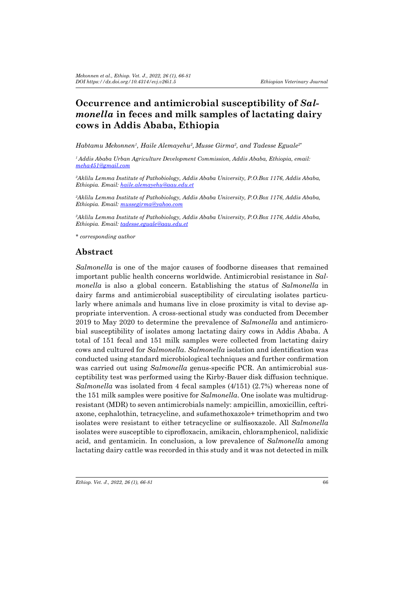# **Occurrence and antimicrobial susceptibility of** *Salmonella* **in feces and milk samples of lactating dairy cows in Addis Ababa, Ethiopia**

*Habtamu Mekonnen1 , Haile Alemayehu<sup>2</sup> , Musse Girma2 , and Tadesse Eguale2\**

*<sup>1</sup>Addis Ababa Urban Agriculture Development Commission, Addis Ababa, Ethiopia, email: meha451@gmail.com*

*2 Aklilu Lemma Institute of Pathobiology, Addis Ababa University, P.O.Box 1176, Addis Ababa, Ethiopia. Email: haile.alemayehu@aau.edu.et*

*2 Aklilu Lemma Institute of Pathobiology, Addis Ababa University, P.O.Box 1176, Addis Ababa, Ethiopia. Email: mussegirma@yahoo.com*

*2 Aklilu Lemma Institute of Pathobiology, Addis Ababa University, P.O.Box 1176, Addis Ababa, Ethiopia. Email: tadesse.eguale@aau.edu.et*

*\* corresponding author* 

### **Abstract**

*Salmonella* is one of the major causes of foodborne diseases that remained important public health concerns worldwide. Antimicrobial resistance in *Salmonella* is also a global concern. Establishing the status of *Salmonella* in dairy farms and antimicrobial susceptibility of circulating isolates particularly where animals and humans live in close proximity is vital to devise appropriate intervention. A cross-sectional study was conducted from December 2019 to May 2020 to determine the prevalence of *Salmonella* and antimicrobial susceptibility of isolates among lactating dairy cows in Addis Ababa. A total of 151 fecal and 151 milk samples were collected from lactating dairy cows and cultured for *Salmonella*. *Salmonella* isolation and identification was conducted using standard microbiological techniques and further confirmation was carried out using *Salmonella* genus-specific PCR. An antimicrobial susceptibility test was performed using the Kirby-Bauer disk diffusion technique. *Salmonella* was isolated from 4 fecal samples (4/151) (2.7%) whereas none of the 151 milk samples were positive for *Salmonella*. One isolate was multidrugresistant (MDR) to seven antimicrobials namely: ampicillin, amoxicillin, ceftriaxone, cephalothin, tetracycline, and sufamethoxazole+ trimethoprim and two isolates were resistant to either tetracycline or sulfisoxazole. All *Salmonella* isolates were susceptible to ciprofloxacin, amikacin, chloramphenicol, nalidixic acid, and gentamicin. In conclusion, a low prevalence of *Salmonella* among lactating dairy cattle was recorded in this study and it was not detected in milk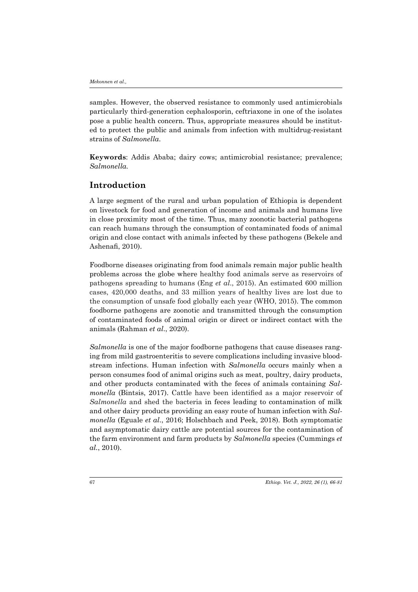samples. However, the observed resistance to commonly used antimicrobials particularly third-generation cephalosporin, ceftriaxone in one of the isolates pose a public health concern. Thus, appropriate measures should be instituted to protect the public and animals from infection with multidrug-resistant strains of *Salmonella*.

**Keywords**: Addis Ababa; dairy cows; antimicrobial resistance; prevalence; *Salmonella.* 

### **Introduction**

A large segment of the rural and urban population of Ethiopia is dependent on livestock for food and generation of income and animals and humans live in close proximity most of the time. Thus, many zoonotic bacterial pathogens can reach humans through the consumption of contaminated foods of animal origin and close contact with animals infected by these pathogens (Bekele and Ashenafi, 2010).

Foodborne diseases originating from food animals remain major public health problems across the globe where healthy food animals serve as reservoirs of pathogens spreading to humans (Eng *et al*., 2015). An estimated 600 million cases, 420,000 deaths, and 33 million years of healthy lives are lost due to the consumption of unsafe food globally each year (WHO, 2015). The common foodborne pathogens are zoonotic and transmitted through the consumption of contaminated foods of animal origin or direct or indirect contact with the animals (Rahman *et al*., 2020).

*Salmonella* is one of the major foodborne pathogens that cause diseases ranging from mild gastroenteritis to severe complications including invasive bloodstream infections. Human infection with *Salmonella* occurs mainly when a person consumes food of animal origins such as meat, poultry, dairy products, and other products contaminated with the feces of animals containing *Salmonella* (Bintsis, 2017). Cattle have been identified as a major reservoir of *Salmonella* and shed the bacteria in feces leading to contamination of milk and other dairy products providing an easy route of human infection with *Salmonella* (Eguale *et al*., 2016; Holschbach and Peek, 2018). Both symptomatic and asymptomatic dairy cattle are potential sources for the contamination of the farm environment and farm products by *Salmonella* species (Cummings *et al.*, 2010).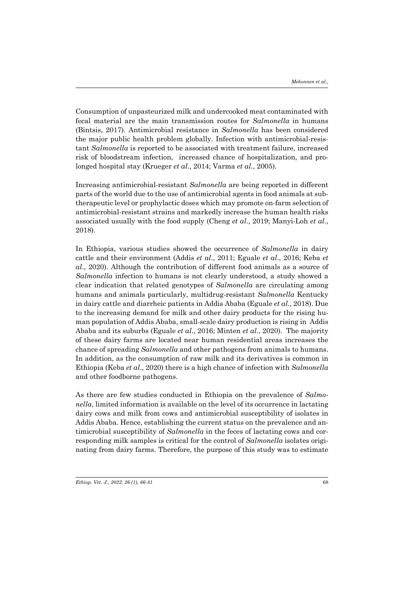Consumption of unpasteurized milk and undercooked meat contaminated with fecal material are the main transmission routes for *Salmonella* in humans (Bintsis, 2017). Antimicrobial resistance in *Salmonella* has been considered the major public health problem globally. Infection with antimicrobial-resistant *Salmonella* is reported to be associated with treatment failure, increased risk of bloodstream infection, increased chance of hospitalization, and prolonged hospital stay (Krueger *et al*., 2014; Varma *et al.*, 2005).

Increasing antimicrobial-resistant *Salmonella* are being reported in different parts of the world due to the use of antimicrobial agents in food animals at subtherapeutic level or prophylactic doses which may promote on-farm selection of antimicrobial-resistant strains and markedly increase the human health risks associated usually with the food supply (Cheng *et al*., 2019; Manyi-Loh *et al*., 2018).

In Ethiopia, various studies showed the occurrence of *Salmonella* in dairy cattle and their environment (Addis *et al*., 2011; Eguale *et al*., 2016; Keba *et al*., 2020). Although the contribution of different food animals as a source of *Salmonella* infection to humans is not clearly understood, a study showed a clear indication that related genotypes of *Salmonella* are circulating among humans and animals particularly, multidrug-resistant *Salmonella* Kentucky in dairy cattle and diarrheic patients in Addis Ababa (Eguale *et al*., 2018). Due to the increasing demand for milk and other dairy products for the rising human population of Addis Ababa, small-scale dairy production is rising in Addis Ababa and its suburbs (Eguale *et al*., 2016; Minten *et al*., 2020). The majority of these dairy farms are located near human residential areas increases the chance of spreading *Salmonella* and other pathogens from animals to humans. In addition, as the consumption of raw milk and its derivatives is common in Ethiopia (Keba *et al*., 2020) there is a high chance of infection with *Salmonella* and other foodborne pathogens.

As there are few studies conducted in Ethiopia on the prevalence of *Salmonella*, limited information is available on the level of its occurrence in lactating dairy cows and milk from cows and antimicrobial susceptibility of isolates in Addis Ababa. Hence, establishing the current status on the prevalence and antimicrobial susceptibility of *Salmonella* in the feces of lactating cows and corresponding milk samples is critical for the control of *Salmonella* isolates originating from dairy farms. Therefore, the purpose of this study was to estimate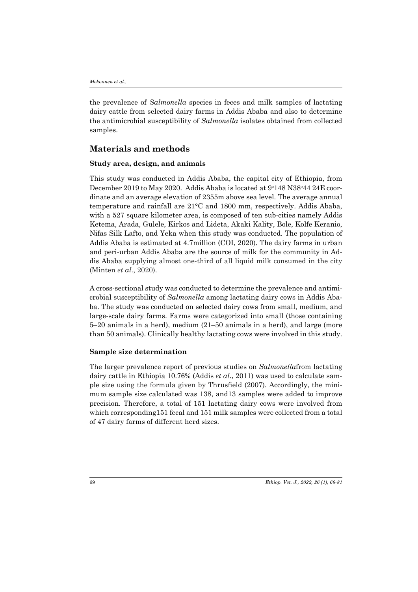the prevalence of *Salmonella* species in feces and milk samples of lactating dairy cattle from selected dairy farms in Addis Ababa and also to determine the antimicrobial susceptibility of *Salmonella* isolates obtained from collected samples.

### **Materials and methods**

#### **Study area, design, and animals**

This study was conducted in Addis Ababa, the capital city of Ethiopia, from December 2019 to May 2020. Addis Ababa is located at 9°148 N38°44 24E coordinate and an average elevation of 2355m above sea level. The average annual temperature and rainfall are 21°C and 1800 mm, respectively. Addis Ababa, with a 527 square kilometer area, is composed of ten sub-cities namely Addis Ketema, Arada, Gulele, Kirkos and Lideta, Akaki Kality, Bole, Kolfe Keranio, Nifas Silk Lafto, and Yeka when this study was conducted. The population of Addis Ababa is estimated at 4.7million (COI, 2020). The dairy farms in urban and peri-urban Addis Ababa are the source of milk for the community in Addis Ababa supplying almost one-third of all liquid milk consumed in the city (Minten *et al*., 2020).

A cross-sectional study was conducted to determine the prevalence and antimicrobial susceptibility of *Salmonella* among lactating dairy cows in Addis Ababa. The study was conducted on selected dairy cows from small, medium, and large-scale dairy farms. Farms were categorized into small (those containing 5–20 animals in a herd), medium (21–50 animals in a herd), and large (more than 50 animals). Clinically healthy lactating cows were involved in this study.

### **Sample size determination**

The larger prevalence report of previous studies on *Salmonella*from lactating dairy cattle in Ethiopia 10.76% (Addis *et al*., 2011) was used to calculate sample size using the formula given by Thrusfield (2007). Accordingly, the minimum sample size calculated was 138, and13 samples were added to improve precision. Therefore, a total of 151 lactating dairy cows were involved from which corresponding151 fecal and 151 milk samples were collected from a total of 47 dairy farms of different herd sizes.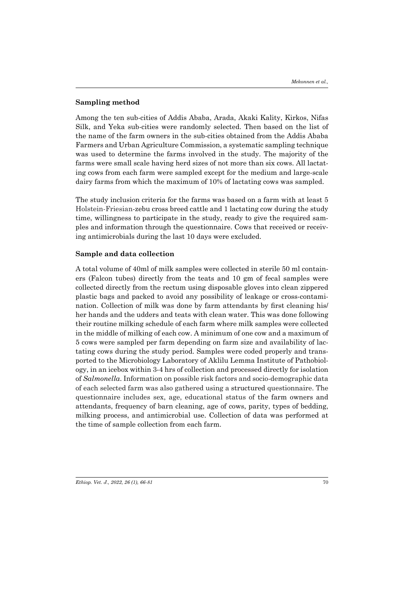### **Sampling method**

Among the ten sub-cities of Addis Ababa, Arada, Akaki Kality, Kirkos, Nifas Silk, and Yeka sub-cities were randomly selected. Then based on the list of the name of the farm owners in the sub-cities obtained from the Addis Ababa Farmers and Urban Agriculture Commission, a systematic sampling technique was used to determine the farms involved in the study. The majority of the farms were small scale having herd sizes of not more than six cows. All lactating cows from each farm were sampled except for the medium and large-scale dairy farms from which the maximum of 10% of lactating cows was sampled.

The study inclusion criteria for the farms was based on a farm with at least 5 Holstein-Friesian-zebu cross breed cattle and 1 lactating cow during the study time, willingness to participate in the study, ready to give the required samples and information through the questionnaire. Cows that received or receiving antimicrobials during the last 10 days were excluded.

#### **Sample and data collection**

A total volume of 40ml of milk samples were collected in sterile 50 ml containers (Falcon tubes) directly from the teats and 10 gm of fecal samples were collected directly from the rectum using disposable gloves into clean zippered plastic bags and packed to avoid any possibility of leakage or cross-contamination. Collection of milk was done by farm attendants by first cleaning his/ her hands and the udders and teats with clean water. This was done following their routine milking schedule of each farm where milk samples were collected in the middle of milking of each cow. A minimum of one cow and a maximum of 5 cows were sampled per farm depending on farm size and availability of lactating cows during the study period. Samples were coded properly and transported to the Microbiology Laboratory of Aklilu Lemma Institute of Pathobiology, in an icebox within 3-4 hrs of collection and processed directly for isolation of *Salmonella*. Information on possible risk factors and socio-demographic data of each selected farm was also gathered using a structured questionnaire. The questionnaire includes sex, age, educational status of the farm owners and attendants, frequency of barn cleaning, age of cows, parity, types of bedding, milking process, and antimicrobial use. Collection of data was performed at the time of sample collection from each farm.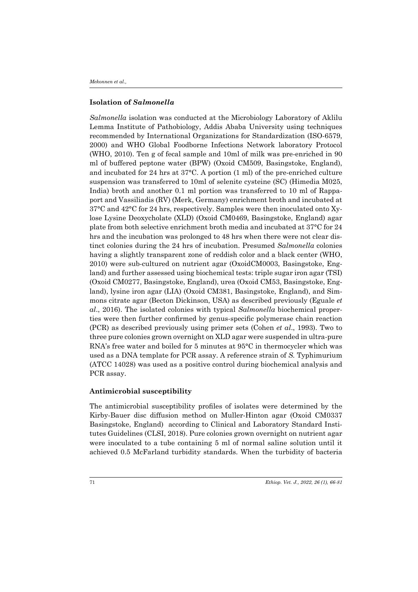### **Isolation of** *Salmonella*

*Salmonella* isolation was conducted at the Microbiology Laboratory of Aklilu Lemma Institute of Pathobiology, Addis Ababa University using techniques recommended by International Organizations for Standardization (ISO-6579, 2000) and WHO Global Foodborne Infections Network laboratory Protocol (WHO, 2010). Ten g of fecal sample and 10ml of milk was pre-enriched in 90 ml of buffered peptone water (BPW) (Oxoid CM509, Basingstoke, England), and incubated for 24 hrs at 37°C. A portion (1 ml) of the pre-enriched culture suspension was transferred to 10ml of selenite cysteine (SC) (Himedia M025, India) broth and another 0.1 ml portion was transferred to 10 ml of Rappaport and Vassiliadis (RV) (Merk, Germany) enrichment broth and incubated at 37°C and 42°C for 24 hrs, respectively. Samples were then inoculated onto Xylose Lysine Deoxycholate (XLD) (Oxoid CM0469, Basingstoke, England) agar plate from both selective enrichment broth media and incubated at 37°C for 24 hrs and the incubation was prolonged to 48 hrs when there were not clear distinct colonies during the 24 hrs of incubation. Presumed *Salmonella* colonies having a slightly transparent zone of reddish color and a black center (WHO, 2010) were sub-cultured on nutrient agar (OxoidCM0003, Basingstoke, England) and further assessed using biochemical tests: triple sugar iron agar (TSI) (Oxoid CM0277, Basingstoke, England), urea (Oxoid CM53, Basingstoke, England), lysine iron agar (LIA) (Oxoid CM381, Basingstoke, England), and Simmons citrate agar (Becton Dickinson, USA) as described previously (Eguale *et al*., 2016). The isolated colonies with typical *Salmonella* biochemical properties were then further confirmed by genus-specific polymerase chain reaction (PCR) as described previously using primer sets (Cohen *et al*., 1993). Two to three pure colonies grown overnight on XLD agar were suspended in ultra-pure RNA's free water and boiled for 5 minutes at 95°C in thermocycler which was used as a DNA template for PCR assay. A reference strain of *S.* Typhimurium (ATCC 14028) was used as a positive control during biochemical analysis and PCR assay.

### **Antimicrobial susceptibility**

The antimicrobial susceptibility profiles of isolates were determined by the Kirby-Bauer disc diffusion method on Muller-Hinton agar (Oxoid CM0337 Basingstoke, England) according to Clinical and Laboratory Standard Institutes Guidelines (CLSI, 2018). Pure colonies grown overnight on nutrient agar were inoculated to a tube containing 5 ml of normal saline solution until it achieved 0.5 McFarland turbidity standards. When the turbidity of bacteria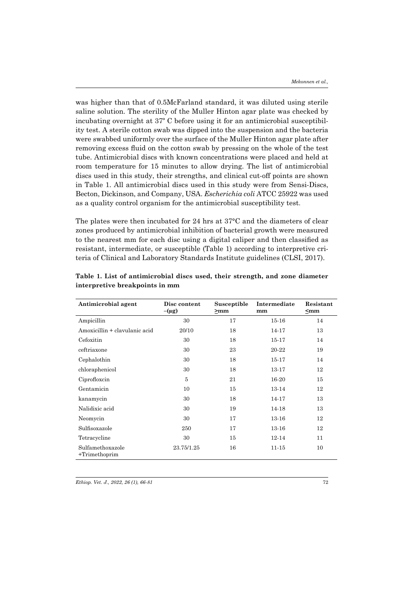was higher than that of 0.5McFarland standard, it was diluted using sterile saline solution. The sterility of the Muller Hinton agar plate was checked by incubating overnight at 37º C before using it for an antimicrobial susceptibility test. A sterile cotton swab was dipped into the suspension and the bacteria were swabbed uniformly over the surface of the Muller Hinton agar plate after removing excess fluid on the cotton swab by pressing on the whole of the test tube. Antimicrobial discs with known concentrations were placed and held at room temperature for 15 minutes to allow drying. The list of antimicrobial discs used in this study, their strengths, and clinical cut-off points are shown in Table 1. All antimicrobial discs used in this study were from Sensi-Discs, Becton, Dickinson, and Company, USA. *Escherichia coli* ATCC 25922 was used as a quality control organism for the antimicrobial susceptibility test.

The plates were then incubated for 24 hrs at 37°C and the diameters of clear zones produced by antimicrobial inhibition of bacterial growth were measured to the nearest mm for each disc using a digital caliper and then classified as resistant, intermediate, or susceptible (Table 1) according to interpretive criteria of Clinical and Laboratory Standards Institute guidelines (CLSI, 2017).

| Antimicrobial agent                  | Disc content<br>$-(\mu g)$ | Susceptible<br>$>$ mm | Intermediate<br>mm | Resistant<br>$\leq$ mm |
|--------------------------------------|----------------------------|-----------------------|--------------------|------------------------|
| Ampicillin                           | 30                         | 17                    | $15 - 16$          | 14                     |
| Amoxicillin + clavulanic acid        | 20/10                      | 18                    | 14-17              | 13                     |
| Cefoxitin                            | 30                         | 18                    | 15-17              | 14                     |
| ceftriaxone                          | 30                         | 23                    | 20-22              | 19                     |
| Cephalothin                          | 30                         | 18                    | 15-17              | 14                     |
| chloraphenicol                       | 30                         | 18                    | 13-17              | 12                     |
| Ciprofloxcin                         | 5                          | 21                    | 16-20              | 15                     |
| Gentamicin                           | 10                         | 15                    | 13-14              | 12                     |
| kanamycin                            | 30                         | 18                    | 14-17              | 13                     |
| Nalidixic acid                       | 30                         | 19                    | 14-18              | 13                     |
| Neomycin                             | 30                         | 17                    | 13-16              | 12                     |
| Sulfisoxazole                        | 250                        | 17                    | 13-16              | 12                     |
| Tetracycline                         | 30                         | 15                    | 12-14              | 11                     |
| Sulfamethoxazole<br>$+$ Trimethoprim | 23.75/1.25                 | 16                    | 11-15              | 10                     |

**Table 1. List of antimicrobial discs used, their strength, and zone diameter interpretive breakpoints in mm**

*Ethiop. Vet. J., 2022, 26 (1), 66-81*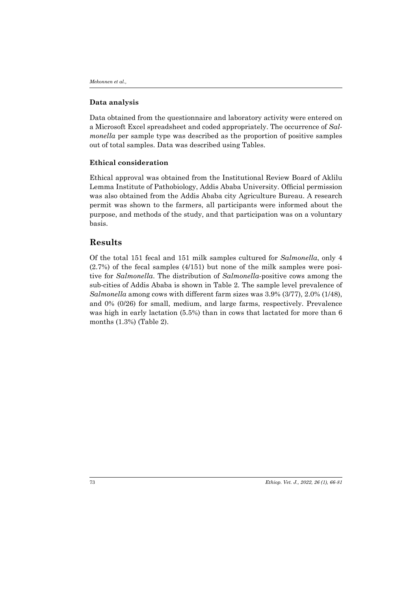#### **Data analysis**

Data obtained from the questionnaire and laboratory activity were entered on a Microsoft Excel spreadsheet and coded appropriately. The occurrence of *Salmonella* per sample type was described as the proportion of positive samples out of total samples. Data was described using Tables.

### **Ethical consideration**

Ethical approval was obtained from the Institutional Review Board of Aklilu Lemma Institute of Pathobiology, Addis Ababa University. Official permission was also obtained from the Addis Ababa city Agriculture Bureau. A research permit was shown to the farmers, all participants were informed about the purpose, and methods of the study, and that participation was on a voluntary basis.

# **Results**

Of the total 151 fecal and 151 milk samples cultured for *Salmonella*, only 4 (2.7%) of the fecal samples (4/151) but none of the milk samples were positive for *Salmonella*. The distribution of *Salmonella*-positive cows among the sub-cities of Addis Ababa is shown in Table 2. The sample level prevalence of *Salmonella* among cows with different farm sizes was 3.9% (3/77), 2.0% (1/48), and 0% (0/26) for small, medium, and large farms, respectively. Prevalence was high in early lactation (5.5%) than in cows that lactated for more than 6 months (1.3%) (Table 2).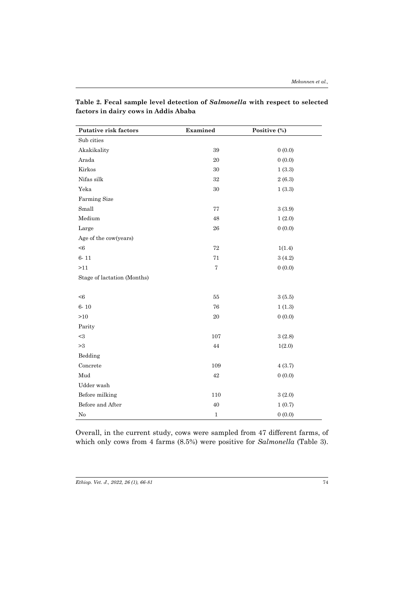| Putative risk factors       | Examined          | Positive (%) |
|-----------------------------|-------------------|--------------|
| Sub cities                  |                   |              |
| Akakikality                 | 39                | 0(0.0)       |
| Arada                       | 20                | 0(0.0)       |
| Kirkos                      | 30                | 1(3.3)       |
| Nifas silk                  | 32                | 2(6.3)       |
| Yeka                        | 30                | 1(3.3)       |
| Farming Size                |                   |              |
| Small                       | 77                | 3(3.9)       |
| Medium                      | 48                | 1(2.0)       |
| Large                       | ${\bf 26}$        | 0(0.0)       |
| Age of the cow(years)       |                   |              |
| < 6                         | 72                | 1(1.4)       |
| $6 - 11$                    | 71                | 3(4.2)       |
| >11                         | $\scriptstyle{7}$ | 0(0.0)       |
| Stage of lactation (Months) |                   |              |
|                             |                   |              |
| < 6                         | 55                | 3(5.5)       |
| $6 - 10$                    | 76                | 1(1.3)       |
| $>10$                       | $20\,$            | 0(0.0)       |
| Parity                      |                   |              |
| $<$ 3                       | 107               | 3(2.8)       |
| >3                          | 44                | 1(2.0)       |
| Bedding                     |                   |              |
| Concrete                    | 109               | 4(3.7)       |
| Mud                         | 42                | 0(0.0)       |
| Udder wash                  |                   |              |
| Before milking              | 110               | 3(2.0)       |
| Before and After            | 40                | 1(0.7)       |
| No                          | $\mathbf{1}$      | 0(0.0)       |

**Table 2. Fecal sample level detection of** *Salmonella* **with respect to selected factors in dairy cows in Addis Ababa**

Overall, in the current study, cows were sampled from 47 different farms, of which only cows from 4 farms (8.5%) were positive for *Salmonella* (Table 3).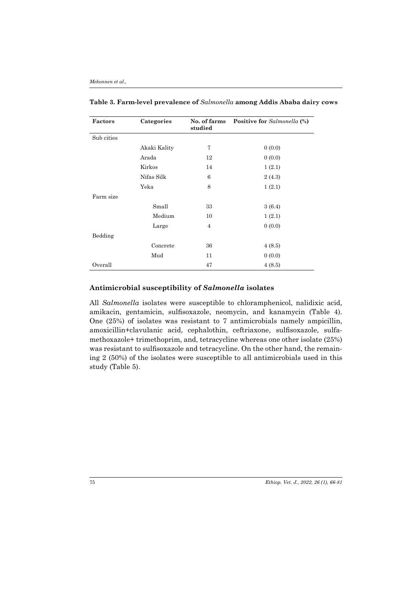| Factors    | Categories   | No. of farms<br>studied | <b>Positive for</b> Salmonella (%) |
|------------|--------------|-------------------------|------------------------------------|
| Sub cities |              |                         |                                    |
|            | Akaki Kality | 7                       | 0(0.0)                             |
|            | Arada        | 12                      | 0(0.0)                             |
|            | Kirkos       | 14                      | 1(2.1)                             |
|            | Nifas Silk   | 6                       | 2(4.3)                             |
|            | Yeka         | 8                       | 1(2.1)                             |
| Farm size  |              |                         |                                    |
|            | Small        | 33                      | 3(6.4)                             |
|            | Medium       | 10                      | 1(2.1)                             |
|            | Large        | $\overline{4}$          | 0(0.0)                             |
| Bedding    |              |                         |                                    |
|            | Concrete     | 36                      | 4(8.5)                             |
|            | Mud          | 11                      | 0(0.0)                             |
| Overall    |              | 47                      | 4(8.5)                             |

**Table 3. Farm-level prevalence of** *Salmonella* **among Addis Ababa dairy cows**

### **Antimicrobial susceptibility of** *Salmonella* **isolates**

All *Salmonella* isolates were susceptible to chloramphenicol, nalidixic acid, amikacin, gentamicin, sulfisoxazole, neomycin, and kanamycin (Table 4). One (25%) of isolates was resistant to 7 antimicrobials namely ampicillin, amoxicillin+clavulanic acid, cephalothin, ceftriaxone, sulfisoxazole, sulfamethoxazole+ trimethoprim, and, tetracycline whereas one other isolate (25%) was resistant to sulfisoxazole and tetracycline. On the other hand, the remaining 2 (50%) of the isolates were susceptible to all antimicrobials used in this study (Table 5).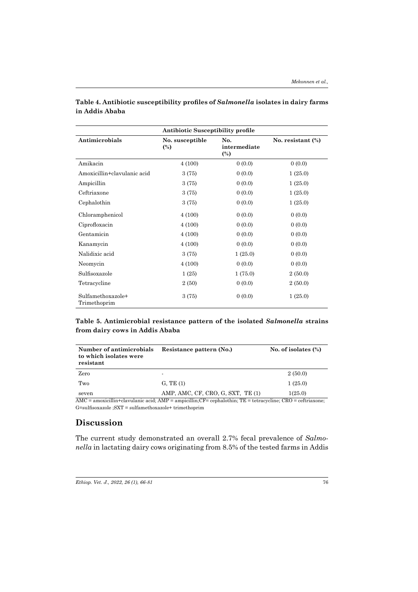| <b>Antibiotic Susceptibility profile</b> |                                   |                                       |                      |
|------------------------------------------|-----------------------------------|---------------------------------------|----------------------|
| Antimicrobials                           | No. susceptible<br>$\binom{0}{0}$ | No.<br>intermediate<br>$\binom{0}{0}$ | No. resistant $(\%)$ |
| Amikacin                                 | 4(100)                            | 0(0.0)                                | 0(0.0)               |
| Amoxicillin+clavulanic acid              | 3 (75)                            | 0(0.0)                                | 1(25.0)              |
| Ampicillin                               | 3(75)                             | 0(0.0)                                | 1(25.0)              |
| Ceftriaxone                              | 3 (75)                            | 0(0.0)                                | 1(25.0)              |
| Cephalothin                              | 3 (75)                            | 0(0.0)                                | 1(25.0)              |
| Chloramphenicol                          | 4(100)                            | 0(0.0)                                | 0(0.0)               |
| Ciprofloxacin                            | 4(100)                            | 0(0.0)                                | 0(0.0)               |
| Gentamicin                               | 4(100)                            | 0(0.0)                                | 0(0.0)               |
| Kanamycin                                | 4(100)                            | 0(0.0)                                | 0(0.0)               |
| Nalidixic acid                           | 3(75)                             | 1(25.0)                               | 0(0.0)               |
| Neomycin                                 | 4(100)                            | 0(0.0)                                | 0(0.0)               |
| Sulfisoxazole                            | 1(25)                             | 1(75.0)                               | 2(50.0)              |
| Tetracycline                             | 2 (50)                            | 0(0.0)                                | 2(50.0)              |
| Sulfamethoxazole+<br>Trimethoprim        | 3(75)                             | 0(0.0)                                | 1(25.0)              |

### **Table 4. Antibiotic susceptibility profiles of** *Salmonella* **isolates in dairy farms in Addis Ababa**

### **Table 5. Antimicrobial resistance pattern of the isolated** *Salmonella* **strains from dairy cows in Addis Ababa**

| Number of antimicrobials<br>to which isolates were<br>resistant | Resistance pattern (No.)                                                                                               | No. of isolates $(\%)$ |
|-----------------------------------------------------------------|------------------------------------------------------------------------------------------------------------------------|------------------------|
| Zero                                                            |                                                                                                                        | 2(50.0)                |
| Two                                                             | G, TE(1)                                                                                                               | 1(25.0)                |
| seven                                                           | AMP, AMC, CF, CRO, G, SXT, TE (1)                                                                                      | 1(25.0)                |
|                                                                 | $AMC =$ amoxicillin+clavulanic acid; $AMP =$ ampicillin; $CF =$ cephalothin; $TE =$ tetracycline; $CRO =$ ceftriaxone; |                        |

 $\operatorname{G=}{\operatorname{suffix}}{}$ 

# **Discussion**

The current study demonstrated an overall 2.7% fecal prevalence of *Salmonella* in lactating dairy cows originating from 8.5% of the tested farms in Addis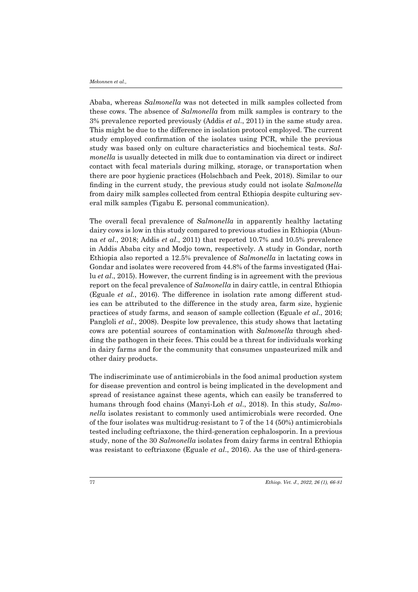Ababa, whereas *Salmonella* was not detected in milk samples collected from these cows. The absence of *Salmonella* from milk samples is contrary to the 3% prevalence reported previously (Addis *et al*., 2011) in the same study area. This might be due to the difference in isolation protocol employed. The current study employed confirmation of the isolates using PCR, while the previous study was based only on culture characteristics and biochemical tests. *Salmonella* is usually detected in milk due to contamination via direct or indirect contact with fecal materials during milking, storage, or transportation when there are poor hygienic practices (Holschbach and Peek, 2018). Similar to our finding in the current study, the previous study could not isolate *Salmonella* from dairy milk samples collected from central Ethiopia despite culturing several milk samples (Tigabu E. personal communication).

The overall fecal prevalence of *Salmonella* in apparently healthy lactating dairy cows is low in this study compared to previous studies in Ethiopia (Abunna *et al*., 2018; Addis *et al*., 2011) that reported 10.7% and 10.5% prevalence in Addis Ababa city and Modjo town, respectively. A study in Gondar, north Ethiopia also reported a 12.5% prevalence of *Salmonella* in lactating cows in Gondar and isolates were recovered from 44.8% of the farms investigated (Hailu *et al*., 2015). However, the current finding is in agreement with the previous report on the fecal prevalence of *Salmonella* in dairy cattle, in central Ethiopia (Eguale *et al.*, 2016). The difference in isolation rate among different studies can be attributed to the difference in the study area, farm size, hygienic practices of study farms, and season of sample collection (Eguale *et al*., 2016; Pangloli *et al*., 2008). Despite low prevalence, this study shows that lactating cows are potential sources of contamination with *Salmonella* through shedding the pathogen in their feces. This could be a threat for individuals working in dairy farms and for the community that consumes unpasteurized milk and other dairy products.

The indiscriminate use of antimicrobials in the food animal production system for disease prevention and control is being implicated in the development and spread of resistance against these agents, which can easily be transferred to humans through food chains (Manyi-Loh *et al*., 2018). In this study, *Salmonella* isolates resistant to commonly used antimicrobials were recorded. One of the four isolates was multidrug-resistant to 7 of the 14 (50%) antimicrobials tested including ceftriaxone, the third-generation cephalosporin. In a previous study, none of the 30 *Salmonella* isolates from dairy farms in central Ethiopia was resistant to ceftriaxone (Eguale *et al*., 2016). As the use of third-genera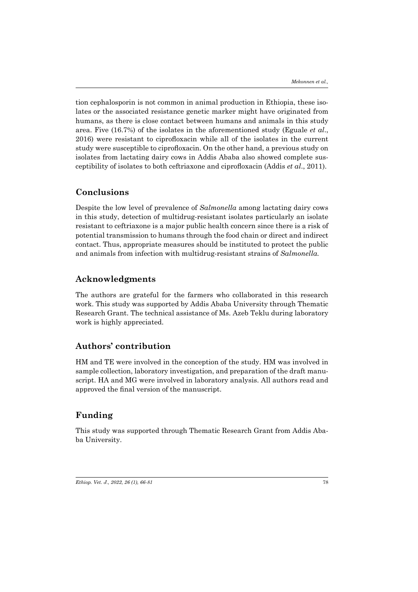tion cephalosporin is not common in animal production in Ethiopia, these isolates or the associated resistance genetic marker might have originated from humans, as there is close contact between humans and animals in this study area. Five (16.7%) of the isolates in the aforementioned study (Eguale *et al*., 2016) were resistant to ciprofloxacin while all of the isolates in the current study were susceptible to ciprofloxacin. On the other hand, a previous study on isolates from lactating dairy cows in Addis Ababa also showed complete susceptibility of isolates to both ceftriaxone and ciprofloxacin (Addis *et al*., 2011).

# **Conclusions**

Despite the low level of prevalence of *Salmonella* among lactating dairy cows in this study, detection of multidrug-resistant isolates particularly an isolate resistant to ceftriaxone is a major public health concern since there is a risk of potential transmission to humans through the food chain or direct and indirect contact. Thus, appropriate measures should be instituted to protect the public and animals from infection with multidrug-resistant strains of *Salmonella.*

### **Acknowledgments**

The authors are grateful for the farmers who collaborated in this research work. This study was supported by Addis Ababa University through Thematic Research Grant. The technical assistance of Ms. Azeb Teklu during laboratory work is highly appreciated.

# **Authors' contribution**

HM and TE were involved in the conception of the study. HM was involved in sample collection, laboratory investigation, and preparation of the draft manuscript. HA and MG were involved in laboratory analysis. All authors read and approved the final version of the manuscript.

# **Funding**

This study was supported through Thematic Research Grant from Addis Ababa University.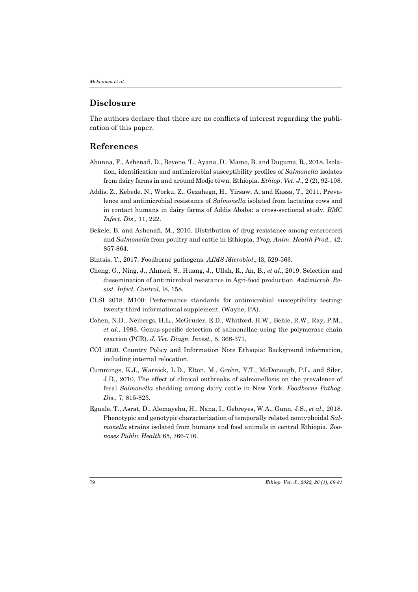# **Disclosure**

The authors declare that there are no conflicts of interest regarding the publication of this paper.

# **References**

- Abunna, F., Ashenafi, D., Beyene, T., Ayana, D., Mamo, B. and Duguma, R., 2018. Isolation, identification and antimicrobial susceptibility profiles of *Salmonella* isolates from dairy farms in and around Modjo town, Ethiopia. *Ethiop*. *Vet*. *J*., 2 (2), 92-108.
- Addis, Z., Kebede, N., Worku, Z., Gezahegn, H., Yirsaw, A. and Kassa, T., 2011. Prevalence and antimicrobial resistance of *Salmonella* isolated from lactating cows and in contact humans in dairy farms of Addis Ababa: a cross-sectional study. *BMC Infect. Dis*., 11, 222.
- Bekele, B. and Ashenafi, M., 2010. Distribution of drug resistance among enterococci and *Salmonella* from poultry and cattle in Ethiopia. *Trop. Anim. Health Prod.*, 42, 857-864.
- Bintsis, T., 2017. Foodborne pathogens. *AIMS Microbiol*., l3, 529-563.
- Cheng, G., Ning, J., Ahmed, S., Huang, J., Ullah, R., An, B., *et al.*, 2019. Selection and dissemination of antimicrobial resistance in Agri-food production. *Antimicrob. Resist. Infect. Control*, l8, 158.
- CLSI 2018. M100: Performance standards for antimicrobial susceptibility testing: twenty-third informational supplement. (Wayne, PA).
- Cohen, N.D., Neibergs, H.L., McGruder, E.D., Whitford, H.W., Behle, R.W., Ray, P.M., *et al*., 1993. Genus-specific detection of salmonellae using the polymerase chain reaction (PCR). *J. Vet. Diagn. Invest.,* 5, 368-371.
- COI 2020. Country Policy and Information Note Ethiopia: Background information, including internal relocation.
- Cummings, K.J., Warnick, L.D., Elton, M., Grohn, Y.T., McDonough, P.L. and Siler, J.D., 2010. The effect of clinical outbreaks of salmonellosis on the prevalence of fecal *Salmonella* shedding among dairy cattle in New York. *Foodborne Pathog. Dis.*, 7, 815-823.
- Eguale, T., Asrat, D., Alemayehu, H., Nana, I., Gebreyes, W.A., Gunn, J.S., *et al*., 2018. Phenotypic and genotypic characterization of temporally related nontyphoidal *Salmonella* strains isolated from humans and food animals in central Ethiopia. *Zoonoses Public Health* 65, 766-776.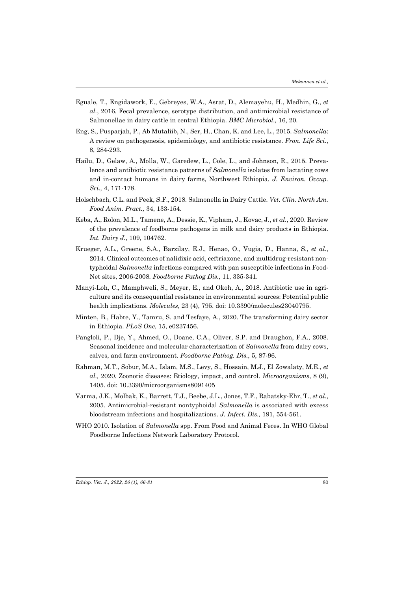- Eguale, T., Engidawork, E., Gebreyes, W.A., Asrat, D., Alemayehu, H., Medhin, G., *et al.*, 2016. Fecal prevalence, serotype distribution, and antimicrobial resistance of Salmonellae in dairy cattle in central Ethiopia. *BMC Microbiol.,* 16, 20.
- Eng, S., Pusparjah, P., Ab Mutaliib, N., Ser, H., Chan, K. and Lee, L., 2015. *Salmonella*: A review on pathogenesis, epidemiology, and antibiotic resistance. *Fron. Life Sci.*, 8, 284-293.
- Hailu, D., Gelaw, A., Molla, W., Garedew, L., Cole, L., and Johnson, R., 2015. Prevalence and antibiotic resistance patterns of *Salmonella* isolates from lactating cows and in-contact humans in dairy farms, Northwest Ethiopia. *J. Environ. Occup. Sci.,* 4, 171-178.
- Holschbach, C.L. and Peek, S.F., 2018. Salmonella in Dairy Cattle. *Vet. Clin. North Am. Food Anim. Pract.,* 34, 133-154.
- Keba, A., Rolon, M.L., Tamene, A., Dessie, K., Vipham, J., Kovac, J., *et al.*, 2020. Review of the prevalence of foodborne pathogens in milk and dairy products in Ethiopia. *Int. Dairy J.*, 109, 104762.
- Krueger, A.L., Greene, S.A., Barzilay, E.J., Henao, O., Vugia, D., Hanna, S., *et al.*, 2014. Clinical outcomes of nalidixic acid, ceftriaxone, and multidrug-resistant nontyphoidal *Salmonella* infections compared with pan susceptible infections in Food-Net sites, 2006-2008*. Foodborne Pathog Dis.,* 11, 335-341.
- Manyi-Loh, C., Mamphweli, S., Meyer, E., and Okoh, A., 2018. Antibiotic use in agriculture and its consequential resistance in environmental sources: Potential public health implications. *Molecules*, 23 (4), 795. doi: 10.3390/molecules23040795.
- Minten, B., Habte, Y., Tamru, S. and Tesfaye, A., 2020. The transforming dairy sector in Ethiopia. *PLoS One,* 15, e0237456.
- Pangloli, P., Dje, Y., Ahmed, O., Doane, C.A., Oliver, S.P. and Draughon, F.A., 2008. Seasonal incidence and molecular characterization of *Salmonella* from dairy cows, calves, and farm environment. *Foodborne Pathog. Dis.,* 5, 87-96.
- Rahman, M.T., Sobur, M.A., Islam, M.S., Levy, S., Hossain, M.J., El Zowalaty, M.E., *et al.,* 2020. Zoonotic diseases: Etiology, impact, and control. *Microorganisms*, 8 (9), 1405. doi: 10.3390/microorganisms8091405
- Varma, J.K., Molbak, K., Barrett, T.J., Beebe, J.L., Jones, T.F., Rabatsky-Ehr, T., *et al.*, 2005. Antimicrobial-resistant nontyphoidal *Salmonella* is associated with excess bloodstream infections and hospitalizations. *J. Infect. Dis.,* 191, 554-561.
- WHO 2010. Isolation of *Salmonella* spp. From Food and Animal Feces. In WHO Global Foodborne Infections Network Laboratory Protocol.